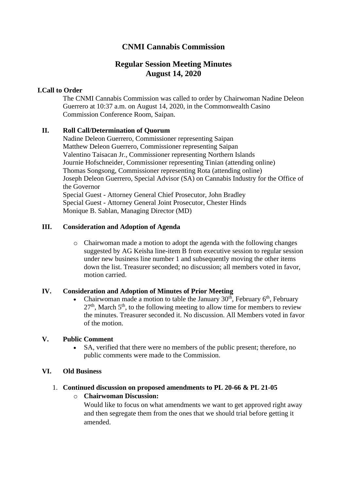# **CNMI Cannabis Commission**

# **Regular Session Meeting Minutes August 14, 2020**

# **I.Call to Order**

The CNMI Cannabis Commission was called to order by Chairwoman Nadine Deleon Guerrero at 10:37 a.m. on August 14, 2020, in the Commonwealth Casino Commission Conference Room, Saipan.

# **II. Roll Call/Determination of Quorum**

Nadine Deleon Guerrero, Commissioner representing Saipan Matthew Deleon Guerrero, Commissioner representing Saipan Valentino Taisacan Jr., Commissioner representing Northern Islands Journie Hofschneider, Commissioner representing Tinian (attending online) Thomas Songsong, Commissioner representing Rota (attending online) Joseph Deleon Guerrero, Special Advisor (SA) on Cannabis Industry for the Office of the Governor Special Guest - Attorney General Chief Prosecutor, John Bradley Special Guest - Attorney General Joint Prosecutor, Chester Hinds Monique B. Sablan, Managing Director (MD)

# **III. Consideration and Adoption of Agenda**

o Chairwoman made a motion to adopt the agenda with the following changes suggested by AG Keisha line-item B from executive session to regular session under new business line number 1 and subsequently moving the other items down the list. Treasurer seconded; no discussion; all members voted in favor, motion carried.

### **IV. Consideration and Adoption of Minutes of Prior Meeting**

Chairwoman made a motion to table the January  $30<sup>th</sup>$ , February  $6<sup>th</sup>$ , February  $27<sup>th</sup>$ , March  $5<sup>th</sup>$ , to the following meeting to allow time for members to review the minutes. Treasurer seconded it. No discussion. All Members voted in favor of the motion.

### **V. Public Comment**

SA, verified that there were no members of the public present; therefore, no public comments were made to the Commission.

### **VI. Old Business**

# 1. **Continued discussion on proposed amendments to PL 20-66 & PL 21-05**

o **Chairwoman Discussion:** Would like to focus on what amendments we want to get approved right away and then segregate them from the ones that we should trial before getting it amended.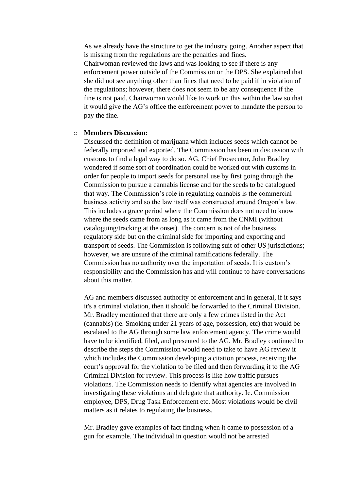As we already have the structure to get the industry going. Another aspect that is missing from the regulations are the penalties and fines. Chairwoman reviewed the laws and was looking to see if there is any enforcement power outside of the Commission or the DPS. She explained that she did not see anything other than fines that need to be paid if in violation of the regulations; however, there does not seem to be any consequence if the fine is not paid. Chairwoman would like to work on this within the law so that it would give the AG's office the enforcement power to mandate the person to pay the fine.

#### o **Members Discussion:**

Discussed the definition of marijuana which includes seeds which cannot be federally imported and exported. The Commission has been in discussion with customs to find a legal way to do so. AG, Chief Prosecutor, John Bradley wondered if some sort of coordination could be worked out with customs in order for people to import seeds for personal use by first going through the Commission to pursue a cannabis license and for the seeds to be catalogued that way. The Commission's role in regulating cannabis is the commercial business activity and so the law itself was constructed around Oregon's law. This includes a grace period where the Commission does not need to know where the seeds came from as long as it came from the CNMI (without cataloguing/tracking at the onset). The concern is not of the business regulatory side but on the criminal side for importing and exporting and transport of seeds. The Commission is following suit of other US jurisdictions; however, we are unsure of the criminal ramifications federally. The Commission has no authority over the importation of seeds. It is custom's responsibility and the Commission has and will continue to have conversations about this matter.

AG and members discussed authority of enforcement and in general, if it says it's a criminal violation, then it should be forwarded to the Criminal Division. Mr. Bradley mentioned that there are only a few crimes listed in the Act (cannabis) (ie. Smoking under 21 years of age, possession, etc) that would be escalated to the AG through some law enforcement agency. The crime would have to be identified, filed, and presented to the AG. Mr. Bradley continued to describe the steps the Commission would need to take to have AG review it which includes the Commission developing a citation process, receiving the court's approval for the violation to be filed and then forwarding it to the AG Criminal Division for review. This process is like how traffic pursues violations. The Commission needs to identify what agencies are involved in investigating these violations and delegate that authority. Ie. Commission employee, DPS, Drug Task Enforcement etc. Most violations would be civil matters as it relates to regulating the business.

Mr. Bradley gave examples of fact finding when it came to possession of a gun for example. The individual in question would not be arrested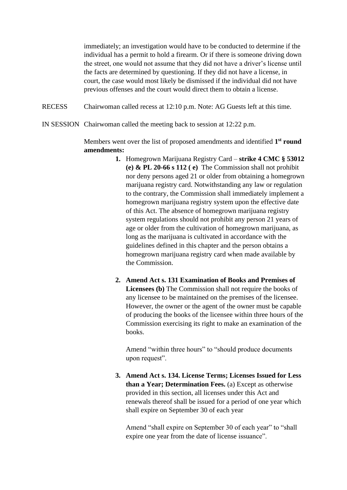immediately; an investigation would have to be conducted to determine if the individual has a permit to hold a firearm. Or if there is someone driving down the street, one would not assume that they did not have a driver's license until the facts are determined by questioning. If they did not have a license, in court, the case would most likely be dismissed if the individual did not have previous offenses and the court would direct them to obtain a license.

RECESS Chairwoman called recess at 12:10 p.m. Note: AG Guests left at this time.

IN SESSION Chairwoman called the meeting back to session at 12:22 p.m.

Members went over the list of proposed amendments and identified **1 st round amendments:** 

- **1.** Homegrown Marijuana Registry Card **strike 4 CMC § 53012 (e) & PL 20-66 s 112 ( e)** The Commission shall not prohibit nor deny persons aged 21 or older from obtaining a homegrown marijuana registry card. Notwithstanding any law or regulation to the contrary, the Commission shall immediately implement a homegrown marijuana registry system upon the effective date of this Act. The absence of homegrown marijuana registry system regulations should not prohibit any person 21 years of age or older from the cultivation of homegrown marijuana, as long as the marijuana is cultivated in accordance with the guidelines defined in this chapter and the person obtains a homegrown marijuana registry card when made available by the Commission.
- **2. Amend Act s. 131 Examination of Books and Premises of Licensees (b)** The Commission shall not require the books of any licensee to be maintained on the premises of the licensee. However, the owner or the agent of the owner must be capable of producing the books of the licensee within three hours of the Commission exercising its right to make an examination of the books.

Amend "within three hours" to "should produce documents upon request".

**3. Amend Act s. 134. License Terms; Licenses Issued for Less than a Year; Determination Fees.** (a) Except as otherwise provided in this section, all licenses under this Act and renewals thereof shall be issued for a period of one year which shall expire on September 30 of each year

Amend "shall expire on September 30 of each year" to "shall expire one year from the date of license issuance".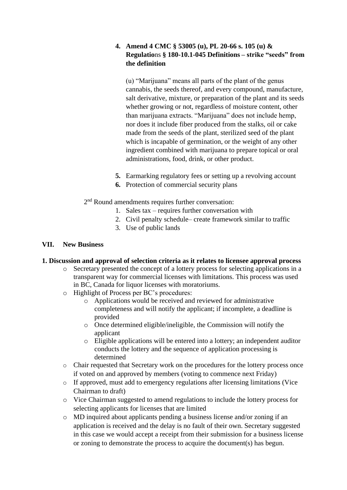# **4. Amend 4 CMC § 53005 (u), PL 20-66 s. 105 (u) & Regulatio**ns **§ 180-10.1-045 Definitions – strike "seeds" from the definition**

(u) "Marijuana" means all parts of the plant of the genus cannabis, the seeds thereof, and every compound, manufacture, salt derivative, mixture, or preparation of the plant and its seeds whether growing or not, regardless of moisture content, other than marijuana extracts. "Marijuana" does not include hemp, nor does it include fiber produced from the stalks, oil or cake made from the seeds of the plant, sterilized seed of the plant which is incapable of germination, or the weight of any other ingredient combined with marijuana to prepare topical or oral administrations, food, drink, or other product.

- **5.** Earmarking regulatory fees or setting up a revolving account
- **6.** Protection of commercial security plans

2<sup>nd</sup> Round amendments requires further conversation:

- 1. Sales tax requires further conversation with
- 2. Civil penalty schedule– create framework similar to traffic
- 3. Use of public lands

## **VII. New Business**

### **1. Discussion and approval of selection criteria as it relates to licensee approval process**

- o Secretary presented the concept of a lottery process for selecting applications in a transparent way for commercial licenses with limitations. This process was used in BC, Canada for liquor licenses with moratoriums.
- o Highlight of Process per BC's procedures:
	- o Applications would be received and reviewed for administrative completeness and will notify the applicant; if incomplete, a deadline is provided
	- o Once determined eligible/ineligible, the Commission will notify the applicant
	- o Eligible applications will be entered into a lottery; an independent auditor conducts the lottery and the sequence of application processing is determined
- o Chair requested that Secretary work on the procedures for the lottery process once if voted on and approved by members (voting to commence next Friday)
- o If approved, must add to emergency regulations after licensing limitations (Vice Chairman to draft)
- o Vice Chairman suggested to amend regulations to include the lottery process for selecting applicants for licenses that are limited
- o MD inquired about applicants pending a business license and/or zoning if an application is received and the delay is no fault of their own. Secretary suggested in this case we would accept a receipt from their submission for a business license or zoning to demonstrate the process to acquire the document(s) has begun.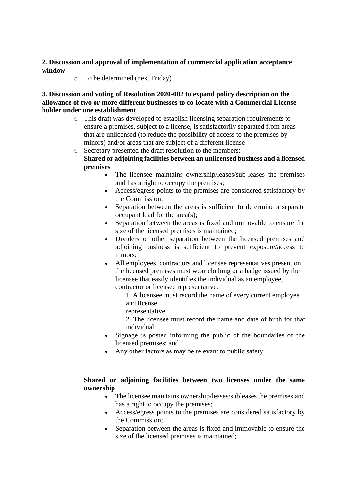# **2. Discussion and approval of implementation of commercial application acceptance window**

o To be determined (next Friday)

**3. Discussion and voting of Resolution 2020-002 to expand policy description on the allowance of two or more different businesses to co-locate with a Commercial License holder under one establishment** 

- o This draft was developed to establish licensing separation requirements to ensure a premises, subject to a license, is satisfactorily separated from areas that are unlicensed (to reduce the possibility of access to the premises by minors) and/or areas that are subject of a different license
- o Secretary presented the draft resolution to the members: **Shared or adjoining facilities between an unlicensed business and a licensed premises**
	- The licensee maintains ownership/leases/sub-leases the premises and has a right to occupy the premises;
	- Access/egress points to the premises are considered satisfactory by the Commission;
	- Separation between the areas is sufficient to determine a separate occupant load for the area(s);
	- Separation between the areas is fixed and immovable to ensure the size of the licensed premises is maintained;
	- Dividers or other separation between the licensed premises and adjoining business is sufficient to prevent exposure/access to minors;
	- All employees, contractors and licensee representatives present on the licensed premises must wear clothing or a badge issued by the licensee that easily identifies the individual as an employee, contractor or licensee representative.

1. A licensee must record the name of every current employee and license

representative.

2. The licensee must record the name and date of birth for that individual.

- Signage is posted informing the public of the boundaries of the licensed premises; and
- Any other factors as may be relevant to public safety.

# **Shared or adjoining facilities between two licenses under the same ownership**

- The licensee maintains ownership/leases/subleases the premises and has a right to occupy the premises;
- Access/egress points to the premises are considered satisfactory by the Commission;
- Separation between the areas is fixed and immovable to ensure the size of the licensed premises is maintained;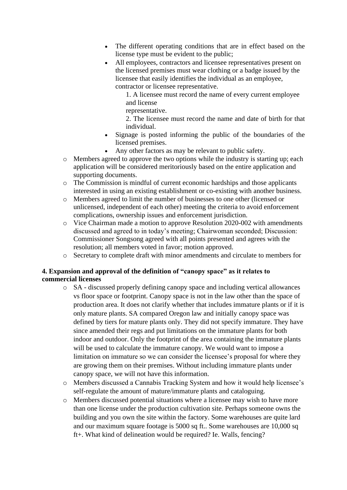- The different operating conditions that are in effect based on the license type must be evident to the public;
- All employees, contractors and licensee representatives present on the licensed premises must wear clothing or a badge issued by the licensee that easily identifies the individual as an employee, contractor or licensee representative.
	- 1. A licensee must record the name of every current employee and license
	- representative.

2. The licensee must record the name and date of birth for that individual.

- Signage is posted informing the public of the boundaries of the licensed premises.
- Any other factors as may be relevant to public safety.
- o Members agreed to approve the two options while the industry is starting up; each application will be considered meritoriously based on the entire application and supporting documents.
- o The Commission is mindful of current economic hardships and those applicants interested in using an existing establishment or co-existing with another business.
- o Members agreed to limit the number of businesses to one other (licensed or unlicensed, independent of each other) meeting the criteria to avoid enforcement complications, ownership issues and enforcement jurisdiction.
- o Vice Chairman made a motion to approve Resolution 2020-002 with amendments discussed and agreed to in today's meeting; Chairwoman seconded; Discussion: Commissioner Songsong agreed with all points presented and agrees with the resolution; all members voted in favor; motion approved.
- o Secretary to complete draft with minor amendments and circulate to members for

# **4. Expansion and approval of the definition of "canopy space" as it relates to commercial licenses**

- o SA discussed properly defining canopy space and including vertical allowances vs floor space or footprint. Canopy space is not in the law other than the space of production area. It does not clarify whether that includes immature plants or if it is only mature plants. SA compared Oregon law and initially canopy space was defined by tiers for mature plants only. They did not specify immature. They have since amended their regs and put limitations on the immature plants for both indoor and outdoor. Only the footprint of the area containing the immature plants will be used to calculate the immature canopy. We would want to impose a limitation on immature so we can consider the licensee's proposal for where they are growing them on their premises. Without including immature plants under canopy space, we will not have this information.
- o Members discussed a Cannabis Tracking System and how it would help licensee's self-regulate the amount of mature/immature plants and cataloguing.
- o Members discussed potential situations where a licensee may wish to have more than one license under the production cultivation site. Perhaps someone owns the building and you own the site within the factory. Some warehouses are quite lard and our maximum square footage is 5000 sq ft.. Some warehouses are 10,000 sq ft+. What kind of delineation would be required? Ie. Walls, fencing?